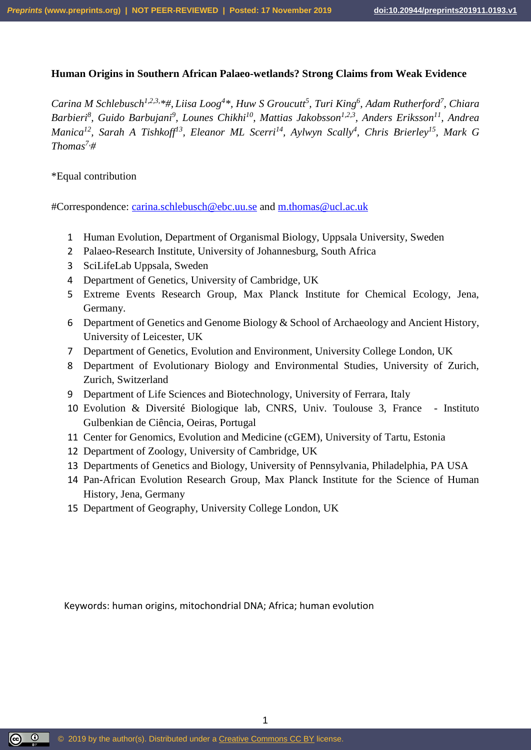# **Human Origins in Southern African Palaeo-wetlands? Strong Claims from Weak Evidence**

*Carina M Schlebusch1,2,3,\*#, Liisa Loog<sup>4</sup> \*, Huw S Groucutt<sup>5</sup> , Turi King<sup>6</sup> , Adam Rutherford<sup>7</sup> , Chiara Barbieri<sup>8</sup> , Guido Barbujani<sup>9</sup> , Lounes Chikhi<sup>10</sup>, Mattias Jakobsson1,2,3, Anders Eriksson<sup>11</sup>, Andrea Manica<sup>12</sup>, Sarah A Tishkoff<sup>13</sup> , Eleanor ML Scerri<sup>14</sup>, Aylwyn Scally<sup>4</sup> , Chris Brierley<sup>15</sup> , Mark G Thomas7,#*

\*Equal contribution

#Correspondence: [carina.schlebusch@ebc.uu.se](mailto:carina.schlebusch@ebc.uu.se) and [m.thomas@ucl.ac.uk](mailto:m.thomas@ucl.ac.uk)

- 1 Human Evolution, Department of Organismal Biology, Uppsala University, Sweden
- 2 Palaeo-Research Institute, University of Johannesburg, South Africa
- 3 SciLifeLab Uppsala, Sweden
- 4 Department of Genetics, University of Cambridge, UK
- 5 Extreme Events Research Group, Max Planck Institute for Chemical Ecology, Jena, Germany.
- 6 Department of Genetics and Genome Biology & School of Archaeology and Ancient History, University of Leicester, UK
- 7 Department of Genetics, Evolution and Environment, University College London, UK
- 8 Department of Evolutionary Biology and Environmental Studies, University of Zurich, Zurich, Switzerland
- 9 Department of Life Sciences and Biotechnology, University of Ferrara, Italy
- 10 Evolution & Diversité Biologique lab, CNRS, Univ. Toulouse 3, France Instituto Gulbenkian de Ciência, Oeiras, Portugal
- 11 Center for Genomics, Evolution and Medicine (cGEM), University of Tartu, Estonia
- 12 Department of Zoology, University of Cambridge, UK
- 13 Departments of Genetics and Biology, University of Pennsylvania, Philadelphia, PA USA

1

- 14 Pan-African Evolution Research Group, Max Planck Institute for the Science of Human History, Jena, Germany
- 15 Department of Geography, University College London, UK

Keywords: human origins, mitochondrial DNA; Africa; human evolution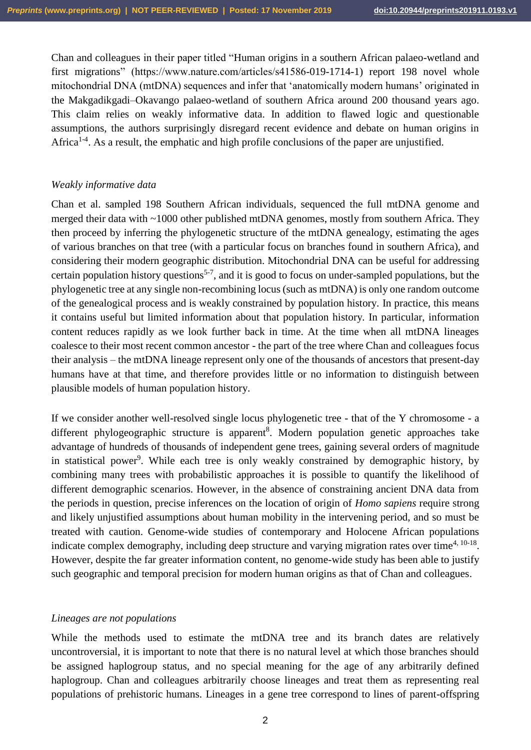Chan and colleagues in their paper titled "Human origins in a southern African palaeo-wetland and first migrations" (https://www.nature.com/articles/s41586-019-1714-1) report 198 novel whole mitochondrial DNA (mtDNA) sequences and infer that 'anatomically modern humans' originated in the Makgadikgadi–Okavango palaeo-wetland of southern Africa around 200 thousand years ago. This claim relies on weakly informative data. In addition to flawed logic and questionable assumptions, the authors surprisingly disregard recent evidence and debate on human origins in Africa<sup>1-4</sup>. As a result, the emphatic and high profile conclusions of the paper are unjustified.

# *Weakly informative data*

Chan et al. sampled 198 Southern African individuals, sequenced the full mtDNA genome and merged their data with ~1000 other published mtDNA genomes, mostly from southern Africa. They then proceed by inferring the phylogenetic structure of the mtDNA genealogy, estimating the ages of various branches on that tree (with a particular focus on branches found in southern Africa), and considering their modern geographic distribution. Mitochondrial DNA can be useful for addressing certain population history questions<sup>5-7</sup>, and it is good to focus on under-sampled populations, but the phylogenetic tree at any single non-recombining locus (such as mtDNA) is only one random outcome of the genealogical process and is weakly constrained by population history. In practice, this means it contains useful but limited information about that population history. In particular, information content reduces rapidly as we look further back in time. At the time when all mtDNA lineages coalesce to their most recent common ancestor - the part of the tree where Chan and colleagues focus their analysis – the mtDNA lineage represent only one of the thousands of ancestors that present-day humans have at that time, and therefore provides little or no information to distinguish between plausible models of human population history.

If we consider another well-resolved single locus phylogenetic tree - that of the Y chromosome - a different phylogeographic structure is apparent<sup>8</sup>. Modern population genetic approaches take advantage of hundreds of thousands of independent gene trees, gaining several orders of magnitude in statistical power<sup>9</sup>. While each tree is only weakly constrained by demographic history, by combining many trees with probabilistic approaches it is possible to quantify the likelihood of different demographic scenarios. However, in the absence of constraining ancient DNA data from the periods in question, precise inferences on the location of origin of *Homo sapiens* require strong and likely unjustified assumptions about human mobility in the intervening period, and so must be treated with caution. Genome-wide studies of contemporary and Holocene African populations indicate complex demography, including deep structure and varying migration rates over time<sup>4, 10-18</sup>. However, despite the far greater information content, no genome-wide study has been able to justify such geographic and temporal precision for modern human origins as that of Chan and colleagues.

# *Lineages are not populations*

While the methods used to estimate the mtDNA tree and its branch dates are relatively uncontroversial, it is important to note that there is no natural level at which those branches should be assigned haplogroup status, and no special meaning for the age of any arbitrarily defined haplogroup. Chan and colleagues arbitrarily choose lineages and treat them as representing real populations of prehistoric humans. Lineages in a gene tree correspond to lines of parent-offspring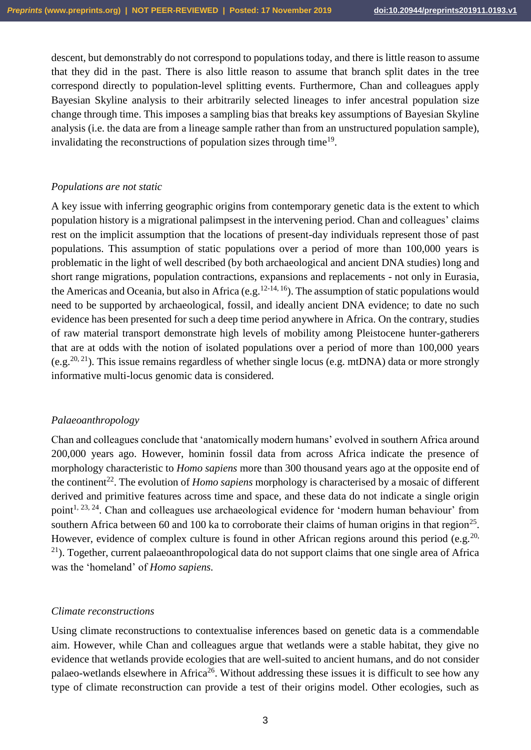descent, but demonstrably do not correspond to populations today, and there is little reason to assume that they did in the past. There is also little reason to assume that branch split dates in the tree correspond directly to population-level splitting events. Furthermore, Chan and colleagues apply Bayesian Skyline analysis to their arbitrarily selected lineages to infer ancestral population size change through time. This imposes a sampling bias that breaks key assumptions of Bayesian Skyline analysis (i.e. the data are from a lineage sample rather than from an unstructured population sample), invalidating the reconstructions of population sizes through time<sup>19</sup>.

#### *Populations are not static*

A key issue with inferring geographic origins from contemporary genetic data is the extent to which population history is a migrational palimpsest in the intervening period. Chan and colleagues' claims rest on the implicit assumption that the locations of present-day individuals represent those of past populations. This assumption of static populations over a period of more than 100,000 years is problematic in the light of well described (by both archaeological and ancient DNA studies) long and short range migrations, population contractions, expansions and replacements - not only in Eurasia, the Americas and Oceania, but also in Africa (e.g.<sup>12-14, 16</sup>). The assumption of static populations would need to be supported by archaeological, fossil, and ideally ancient DNA evidence; to date no such evidence has been presented for such a deep time period anywhere in Africa. On the contrary, studies of raw material transport demonstrate high levels of mobility among Pleistocene hunter-gatherers that are at odds with the notion of isolated populations over a period of more than 100,000 years (e.g.<sup>20, 21</sup>). This issue remains regardless of whether single locus (e.g. mtDNA) data or more strongly informative multi-locus genomic data is considered.

#### *Palaeoanthropology*

Chan and colleagues conclude that 'anatomically modern humans' evolved in southern Africa around 200,000 years ago. However, hominin fossil data from across Africa indicate the presence of morphology characteristic to *Homo sapiens* more than 300 thousand years ago at the opposite end of the continent<sup>22</sup>. The evolution of *Homo sapiens* morphology is characterised by a mosaic of different derived and primitive features across time and space, and these data do not indicate a single origin point<sup>1, 23, 24</sup>. Chan and colleagues use archaeological evidence for 'modern human behaviour' from southern Africa between 60 and 100 ka to corroborate their claims of human origins in that region<sup>25</sup>. However, evidence of complex culture is found in other African regions around this period (e.g.<sup>20,</sup>  $^{21}$ ). Together, current palaeoanthropological data do not support claims that one single area of Africa was the 'homeland' of *Homo sapiens.*

#### *Climate reconstructions*

Using climate reconstructions to contextualise inferences based on genetic data is a commendable aim. However, while Chan and colleagues argue that wetlands were a stable habitat, they give no evidence that wetlands provide ecologies that are well-suited to ancient humans, and do not consider palaeo-wetlands elsewhere in Africa<sup>26</sup>. Without addressing these issues it is difficult to see how any type of climate reconstruction can provide a test of their origins model. Other ecologies, such as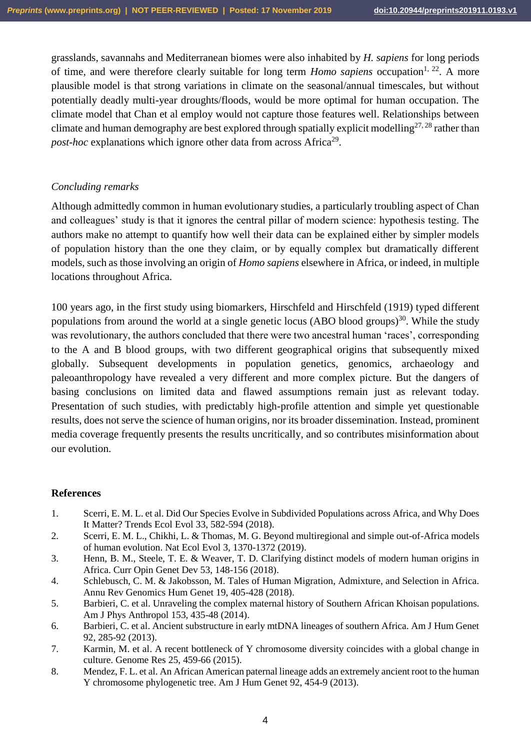grasslands, savannahs and Mediterranean biomes were also inhabited by *H. sapiens* for long periods of time, and were therefore clearly suitable for long term *Homo sapiens* occupation<sup>1, 22</sup>. A more plausible model is that strong variations in climate on the seasonal/annual timescales, but without potentially deadly multi-year droughts/floods, would be more optimal for human occupation. The climate model that Chan et al employ would not capture those features well. Relationships between climate and human demography are best explored through spatially explicit modelling<sup>27, 28</sup> rather than post-hoc explanations which ignore other data from across Africa<sup>29</sup>.

# *Concluding remarks*

Although admittedly common in human evolutionary studies, a particularly troubling aspect of Chan and colleagues' study is that it ignores the central pillar of modern science: hypothesis testing. The authors make no attempt to quantify how well their data can be explained either by simpler models of population history than the one they claim, or by equally complex but dramatically different models, such as those involving an origin of *Homo sapiens* elsewhere in Africa, or indeed, in multiple locations throughout Africa.

100 years ago, in the first study using biomarkers, Hirschfeld and Hirschfeld (1919) typed different populations from around the world at a single genetic locus (ABO blood groups)<sup>30</sup>. While the study was revolutionary, the authors concluded that there were two ancestral human 'races', corresponding to the A and B blood groups, with two different geographical origins that subsequently mixed globally. Subsequent developments in population genetics, genomics, archaeology and paleoanthropology have revealed a very different and more complex picture. But the dangers of basing conclusions on limited data and flawed assumptions remain just as relevant today. Presentation of such studies, with predictably high-profile attention and simple yet questionable results, does not serve the science of human origins, nor its broader dissemination. Instead, prominent media coverage frequently presents the results uncritically, and so contributes misinformation about our evolution.

#### **References**

- 1. Scerri, E. M. L. et al. Did Our Species Evolve in Subdivided Populations across Africa, and Why Does It Matter? Trends Ecol Evol 33, 582-594 (2018).
- 2. Scerri, E. M. L., Chikhi, L. & Thomas, M. G. Beyond multiregional and simple out-of-Africa models of human evolution. Nat Ecol Evol 3, 1370-1372 (2019).
- 3. Henn, B. M., Steele, T. E. & Weaver, T. D. Clarifying distinct models of modern human origins in Africa. Curr Opin Genet Dev 53, 148-156 (2018).
- 4. Schlebusch, C. M. & Jakobsson, M. Tales of Human Migration, Admixture, and Selection in Africa. Annu Rev Genomics Hum Genet 19, 405-428 (2018).
- 5. Barbieri, C. et al. Unraveling the complex maternal history of Southern African Khoisan populations. Am J Phys Anthropol 153, 435-48 (2014).
- 6. Barbieri, C. et al. Ancient substructure in early mtDNA lineages of southern Africa. Am J Hum Genet 92, 285-92 (2013).
- 7. Karmin, M. et al. A recent bottleneck of Y chromosome diversity coincides with a global change in culture. Genome Res 25, 459-66 (2015).
- 8. Mendez, F. L. et al. An African American paternal lineage adds an extremely ancient root to the human Y chromosome phylogenetic tree. Am J Hum Genet 92, 454-9 (2013).